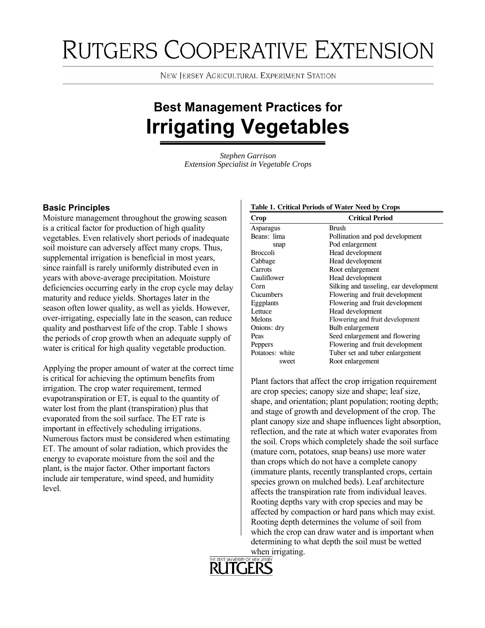# RUTGERS COOPERATIVE EXTENSION

**NEW JERSEY AGRICULTURAL EXPERIMENT STATION** 

## **Best Management Practices for Irrigating Vegetables**

*Stephen Garrison Extension Specialist in Vegetable Crops* 

Moisture management throughout the growing season is a critical factor for production of high quality vegetables. Even relatively short periods of inadequate soil moisture can adversely affect many crops. Thus, supplemental irrigation is beneficial in most years, since rainfall is rarely uniformly distributed even in years with above-average precipitation. Moisture deficiencies occurring early in the crop cycle may delay maturity and reduce yields. Shortages later in the season often lower quality, as well as yields. However, over-irrigating, especially late in the season, can reduce quality and postharvest life of the crop. Table 1 shows the periods of crop growth when an adequate supply of water is critical for high quality vegetable production.

Applying the proper amount of water at the correct time is critical for achieving the optimum benefits from irrigation. The crop water requirement, termed evapotranspiration or ET, is equal to the quantity of water lost from the plant (transpiration) plus that evaporated from the soil surface. The ET rate is important in effectively scheduling irrigations. Numerous factors must be considered when estimating ET. The amount of solar radiation, which provides the energy to evaporate moisture from the soil and the plant, is the major factor. Other important factors include air temperature, wind speed, and humidity level.

#### **Crop Critical Period** Asparagus Brush Beans: lima Pollination and pod development snap Pod enlargement Broccoli Head development Cabbage Head development Carrots Root enlargement Cauliflower Head development Corn Silking and tasseling, ear development Cucumbers Flowering and fruit development Eggplants Flowering and fruit development Lettuce Head development Melons Flowering and fruit development Onions: dry Bulb enlargement Peas Seed enlargement and flowering Peppers Flowering and fruit development Potatoes: white Tuber set and tuber enlargement<br>
Root enlargement

Plant factors that affect the crop irrigation requirement are crop species; canopy size and shape; leaf size, shape, and orientation; plant population; rooting depth; and stage of growth and development of the crop. The plant canopy size and shape influences light absorption, reflection, and the rate at which water evaporates from the soil. Crops which completely shade the soil surface (mature corn, potatoes, snap beans) use more water than crops which do not have a complete canopy (immature plants, recently transplanted crops, certain species grown on mulched beds). Leaf architecture affects the transpiration rate from individual leaves. Rooting depths vary with crop species and may be affected by compaction or hard pans which may exist. Rooting depth determines the volume of soil from which the crop can draw water and is important when determining to what depth the soil must be wetted when irrigating.



#### **Basic Principles Table 1. Critical Periods of Water Need by Crops Table 1. Critical Periods of Water Need by Crops**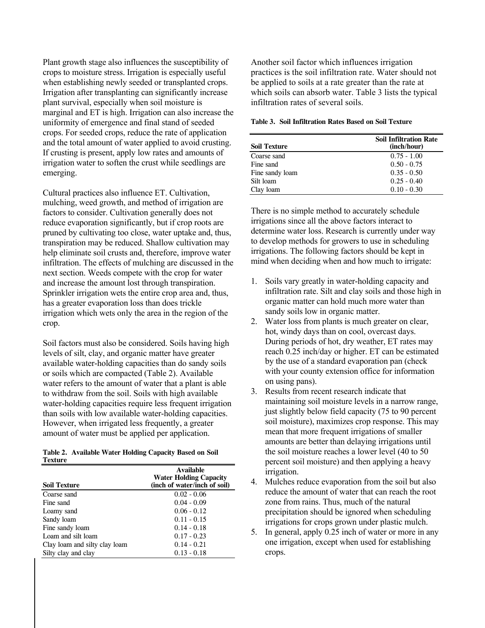Plant growth stage also influences the susceptibility of crops to moisture stress. Irrigation is especially useful when establishing newly seeded or transplanted crops. Irrigation after transplanting can significantly increase plant survival, especially when soil moisture is marginal and ET is high. Irrigation can also increase the uniformity of emergence and final stand of seeded crops. For seeded crops, reduce the rate of application and the total amount of water applied to avoid crusting. If crusting is present, apply low rates and amounts of irrigation water to soften the crust while seedlings are emerging.

Cultural practices also influence ET. Cultivation, mulching, weed growth, and method of irrigation are factors to consider. Cultivation generally does not reduce evaporation significantly, but if crop roots are pruned by cultivating too close, water uptake and, thus, transpiration may be reduced. Shallow cultivation may help eliminate soil crusts and, therefore, improve water infiltration. The effects of mulching are discussed in the next section. Weeds compete with the crop for water and increase the amount lost through transpiration. Sprinkler irrigation wets the entire crop area and, thus, has a greater evaporation loss than does trickle irrigation which wets only the area in the region of the crop.

Soil factors must also be considered. Soils having high levels of silt, clay, and organic matter have greater available water-holding capacities than do sandy soils or soils which are compacted (Table 2). Available water refers to the amount of water that a plant is able to withdraw from the soil. Soils with high available water-holding capacities require less frequent irrigation than soils with low available water-holding capacities. However, when irrigated less frequently, a greater amount of water must be applied per application.

|         | Table 2. Available Water Holding Capacity Based on Soil |  |  |  |
|---------|---------------------------------------------------------|--|--|--|
| Texture |                                                         |  |  |  |

| <b>Soil Texture</b>           | <b>Available</b><br><b>Water Holding Capacity</b><br>(inch of water/inch of soil) |
|-------------------------------|-----------------------------------------------------------------------------------|
| Coarse sand                   | $0.02 - 0.06$                                                                     |
| Fine sand                     | $0.04 - 0.09$                                                                     |
| Loamy sand                    | $0.06 - 0.12$                                                                     |
| Sandy loam                    | $0.11 - 0.15$                                                                     |
| Fine sandy loam               | $0.14 - 0.18$                                                                     |
| Loam and silt loam            | $0.17 - 0.23$                                                                     |
| Clay loam and silty clay loam | $0.14 - 0.21$                                                                     |
| Silty clay and clay           | $0.13 - 0.18$                                                                     |

Another soil factor which influences irrigation practices is the soil infiltration rate. Water should not be applied to soils at a rate greater than the rate at which soils can absorb water. Table 3 lists the typical infiltration rates of several soils.

#### **Table 3. Soil Infiltration Rates Based on Soil Texture**

| crops. I or secured crops, requee the rate or application<br>and the total amount of water applied to avoid crusting. | <b>Soil Texture</b> | <b>Soil Infiltration Rate</b><br>(inch/hour) |
|-----------------------------------------------------------------------------------------------------------------------|---------------------|----------------------------------------------|
| If crusting is present, apply low rates and amounts of                                                                | Coarse sand         | $0.75 - 1.00$                                |
| irrigation water to soften the crust while seedlings are                                                              | Fine sand           | $0.50 - 0.75$                                |
| emerging.                                                                                                             | Fine sandy loam     | $0.35 - 0.50$                                |
|                                                                                                                       | Silt loam           | $0.25 - 0.40$                                |
| Cultural practices also influence ET. Cultivation,                                                                    | Clay loam           | $0.10 - 0.30$                                |

There is no simple method to accurately schedule irrigations since all the above factors interact to determine water loss. Research is currently under way to develop methods for growers to use in scheduling irrigations. The following factors should be kept in mind when deciding when and how much to irrigate:

- 1. Soils vary greatly in water-holding capacity and infiltration rate. Silt and clay soils and those high in organic matter can hold much more water than sandy soils low in organic matter.
- 2. Water loss from plants is much greater on clear, hot, windy days than on cool, overcast days. During periods of hot, dry weather, ET rates may reach 0.25 inch/day or higher. ET can be estimated by the use of a standard evaporation pan (check with your county extension office for information on using pans).
- 3. Results from recent research indicate that maintaining soil moisture levels in a narrow range, just slightly below field capacity (75 to 90 percent soil moisture), maximizes crop response. This may mean that more frequent irrigations of smaller amounts are better than delaying irrigations until the soil moisture reaches a lower level (40 to 50 percent soil moisture) and then applying a heavy irrigation.
- 4. Mulches reduce evaporation from the soil but also reduce the amount of water that can reach the root zone from rains. Thus, much of the natural precipitation should be ignored when scheduling irrigations for crops grown under plastic mulch.
- 5. In general, apply 0.25 inch of water or more in any one irrigation, except when used for establishing crops.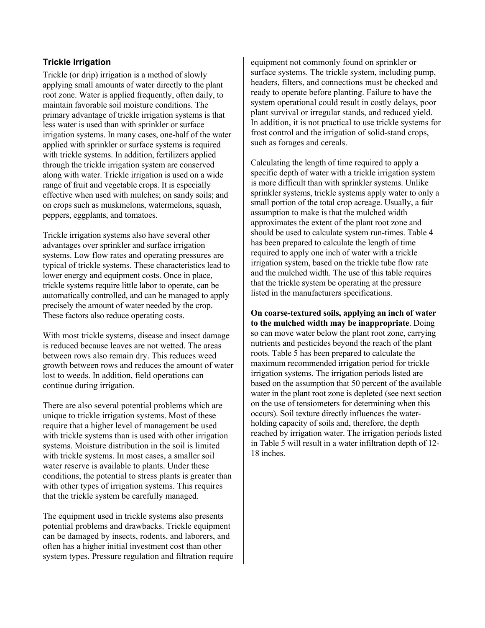## **Trickle Irrigation**

Trickle (or drip) irrigation is a method of slowly applying small amounts of water directly to the plant root zone. Water is applied frequently, often daily, to maintain favorable soil moisture conditions. The primary advantage of trickle irrigation systems is that less water is used than with sprinkler or surface irrigation systems. In many cases, one-half of the water applied with sprinkler or surface systems is required with trickle systems. In addition, fertilizers applied through the trickle irrigation system are conserved along with water. Trickle irrigation is used on a wide range of fruit and vegetable crops. It is especially effective when used with mulches; on sandy soils; and on crops such as muskmelons, watermelons, squash, peppers, eggplants, and tomatoes.

Trickle irrigation systems also have several other advantages over sprinkler and surface irrigation systems. Low flow rates and operating pressures are typical of trickle systems. These characteristics lead to lower energy and equipment costs. Once in place, trickle systems require little labor to operate, can be automatically controlled, and can be managed to apply precisely the amount of water needed by the crop. These factors also reduce operating costs.

With most trickle systems, disease and insect damage is reduced because leaves are not wetted. The areas between rows also remain dry. This reduces weed growth between rows and reduces the amount of water lost to weeds. In addition, field operations can continue during irrigation.

There are also several potential problems which are unique to trickle irrigation systems. Most of these require that a higher level of management be used with trickle systems than is used with other irrigation systems. Moisture distribution in the soil is limited with trickle systems. In most cases, a smaller soil water reserve is available to plants. Under these conditions, the potential to stress plants is greater than with other types of irrigation systems. This requires that the trickle system be carefully managed.

The equipment used in trickle systems also presents potential problems and drawbacks. Trickle equipment can be damaged by insects, rodents, and laborers, and often has a higher initial investment cost than other system types. Pressure regulation and filtration require

equipment not commonly found on sprinkler or surface systems. The trickle system, including pump, headers, filters, and connections must be checked and ready to operate before planting. Failure to have the system operational could result in costly delays, poor plant survival or irregular stands, and reduced yield. In addition, it is not practical to use trickle systems for frost control and the irrigation of solid-stand crops, such as forages and cereals.

Calculating the length of time required to apply a specific depth of water with a trickle irrigation system is more difficult than with sprinkler systems. Unlike sprinkler systems, trickle systems apply water to only a small portion of the total crop acreage. Usually, a fair assumption to make is that the mulched width approximates the extent of the plant root zone and should be used to calculate system run-times. Table 4 has been prepared to calculate the length of time required to apply one inch of water with a trickle irrigation system, based on the trickle tube flow rate and the mulched width. The use of this table requires that the trickle system be operating at the pressure listed in the manufacturers specifications.

**On coarse-textured soils, applying an inch of water to the mulched width may be inappropriate**. Doing so can move water below the plant root zone, carrying nutrients and pesticides beyond the reach of the plant roots. Table 5 has been prepared to calculate the maximum recommended irrigation period for trickle irrigation systems. The irrigation periods listed are based on the assumption that 50 percent of the available water in the plant root zone is depleted (see next section on the use of tensiometers for determining when this occurs). Soil texture directly influences the waterholding capacity of soils and, therefore, the depth reached by irrigation water. The irrigation periods listed in Table 5 will result in a water infiltration depth of 12- 18 inches.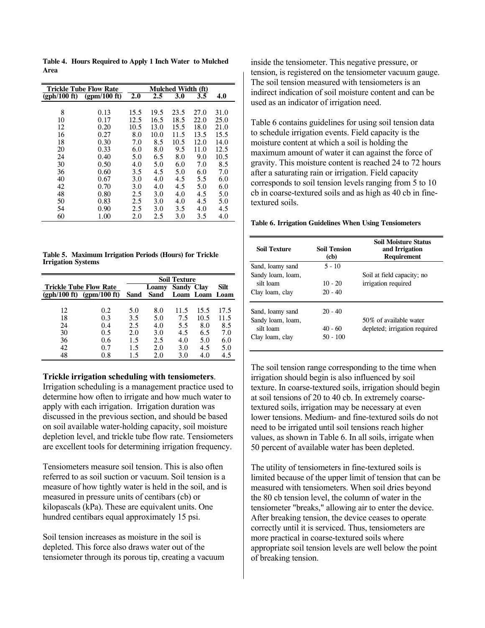**Table 4. Hours Required to Apply 1 Inch Water to Mulched Area** 

|              | <b>Trickle Tube Flow Rate</b> |      |      | Mulched Width (ft) |      |      |
|--------------|-------------------------------|------|------|--------------------|------|------|
| (gph/100 ft) | $(gpm/100 \text{ ft})$        | 2.0  | 2.5  | 3.0                | 3.5  | 4.0  |
|              |                               |      |      |                    |      |      |
| 8            | 0.13                          | 15.5 | 19.5 | 23.5               | 27.0 | 31.0 |
| 10           | 0.17                          | 12.5 | 16.5 | 18.5               | 22.0 | 25.0 |
| 12           | 0.20                          | 10.5 | 13.0 | 15.5               | 18.0 | 21.0 |
| 16           | 0.27                          | 8.0  | 10.0 | 11.5               | 13.5 | 15.5 |
| 18           | 0.30                          | 7.0  | 8.5  | 10.5               | 12.0 | 14.0 |
| 20           | 0.33                          | 6.0  | 8.0  | 9.5                | 11.0 | 12.5 |
| 24           | 0.40                          | 5.0  | 6.5  | 8.0                | 9.0  | 10.5 |
| 30           | 0.50                          | 4.0  | 5.0  | 6.0                | 7.0  | 8.5  |
| 36           | 0.60                          | 3.5  | 4.5  | 5.0                | 6.0  | 7.0  |
| 40           | 0.67                          | 3.0  | 4.0  | 4.5                | 5.5  | 6.0  |
| 42           | 0.70                          | 3.0  | 4.0  | 4.5                | 5.0  | 6.0  |
| 48           | 0.80                          | 2.5  | 3.0  | 4.0                | 4.5  | 5.0  |
| 50           | 0.83                          | 2.5  | 3.0  | 4.0                | 4.5  | 5.0  |
| 54           | 0.90                          | 2.5  | 3.0  | 3.5                | 4.0  | 4.5  |
| 60           | 1.00                          | 2.0  | 2.5  | 3.0                | 3.5  | 4.0  |
|              |                               |      |      |                    |      |      |

**Table 5. Maximum Irrigation Periods (Hours) for Trickle Irrigation Systems** 

|    |                               |      |       | <b>Soil Texture</b> |                |      |
|----|-------------------------------|------|-------|---------------------|----------------|------|
|    | <b>Trickle Tube Flow Rate</b> |      | Loamy | <b>Sandy Clay</b>   |                | Silt |
|    | $(gph/100 ft)$ $(gpm/100 ft)$ | Sand | Sand  |                     | Loam Loam Loam |      |
|    |                               |      |       |                     |                |      |
| 12 | 0.2                           | 5.0  | 8.0   | 11.5                | 15.5           | 17.5 |
| 18 | 0.3                           | 3.5  | 5.0   | 7.5                 | 10.5           | 11.5 |
| 24 | 0.4                           | 2.5  | 4.0   | 5.5                 | 8.0            | 8.5  |
| 30 | 0.5                           | 2.0  | 3.0   | 4.5                 | 6.5            | 7.0  |
| 36 | 0.6                           | 1.5  | 2.5   | 4.0                 | 5.0            | 6.0  |
| 42 | 0.7                           | 1.5  | 2.0   | 3.0                 | 4.5            | 5.0  |
| 48 | 0.8                           | 1.5  | 2.0   | 3.0                 | 4.0            | 4.5  |

#### **Trickle irrigation scheduling with tensiometers**.

Irrigation scheduling is a management practice used to determine how often to irrigate and how much water to apply with each irrigation. Irrigation duration was discussed in the previous section, and should be based on soil available water-holding capacity, soil moisture depletion level, and trickle tube flow rate. Tensiometers are excellent tools for determining irrigation frequency.

Tensiometers measure soil tension. This is also often referred to as soil suction or vacuum. Soil tension is a measure of how tightly water is held in the soil, and is measured in pressure units of centibars (cb) or kilopascals (kPa). These are equivalent units. One hundred centibars equal approximately 15 psi.

Soil tension increases as moisture in the soil is depleted. This force also draws water out of the tensiometer through its porous tip, creating a vacuum

inside the tensiometer. This negative pressure, or tension, is registered on the tensiometer vacuum gauge. The soil tension measured with tensiometers is an indirect indication of soil moisture content and can be used as an indicator of irrigation need.

Table 6 contains guidelines for using soil tension data to schedule irrigation events. Field capacity is the moisture content at which a soil is holding the maximum amount of water it can against the force of gravity. This moisture content is reached 24 to 72 hours after a saturating rain or irrigation. Field capacity corresponds to soil tension levels ranging from 5 to 10 cb in coarse-textured soils and as high as 40 cb in finetextured soils.

#### **Table 6. Irrigation Guidelines When Using Tensiometers**

| <b>Soil Texture</b> | <b>Soil Tension</b><br>(cb) | <b>Soil Moisture Status</b><br>and Irrigation<br><b>Requirement</b> |
|---------------------|-----------------------------|---------------------------------------------------------------------|
| Sand, loamy sand    | $5 - 10$                    |                                                                     |
| Sandy loam, loam,   |                             | Soil at field capacity; no                                          |
| silt loam           | $10 - 20$                   | irrigation required                                                 |
| Clay loam, clay     | $20 - 40$                   |                                                                     |
| Sand, loamy sand    | $20 - 40$                   |                                                                     |
| Sandy loam, loam,   |                             | 50% of available water                                              |
| silt loam           | $40 - 60$                   | depleted; irrigation required                                       |
| Clay loam, clay     | $50 - 100$                  |                                                                     |

The soil tension range corresponding to the time when irrigation should begin is also influenced by soil texture. In coarse-textured soils, irrigation should begin at soil tensions of 20 to 40 cb. In extremely coarsetextured soils, irrigation may be necessary at even lower tensions. Medium- and fine-textured soils do not need to be irrigated until soil tensions reach higher values, as shown in Table 6. In all soils, irrigate when 50 percent of available water has been depleted.

The utility of tensiometers in fine-textured soils is limited because of the upper limit of tension that can be measured with tensiometers. When soil dries beyond the 80 cb tension level, the column of water in the tensiometer "breaks," allowing air to enter the device. After breaking tension, the device ceases to operate correctly until it is serviced. Thus, tensiometers are more practical in coarse-textured soils where appropriate soil tension levels are well below the point of breaking tension.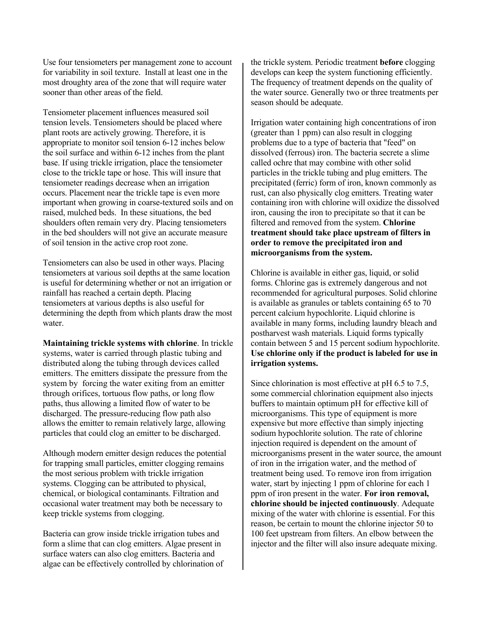Use four tensiometers per management zone to account for variability in soil texture. Install at least one in the most droughty area of the zone that will require water sooner than other areas of the field.

Tensiometer placement influences measured soil tension levels. Tensiometers should be placed where plant roots are actively growing. Therefore, it is appropriate to monitor soil tension 6-12 inches below the soil surface and within 6-12 inches from the plant base. If using trickle irrigation, place the tensiometer close to the trickle tape or hose. This will insure that tensiometer readings decrease when an irrigation occurs. Placement near the trickle tape is even more important when growing in coarse-textured soils and on raised, mulched beds. In these situations, the bed shoulders often remain very dry. Placing tensiometers in the bed shoulders will not give an accurate measure of soil tension in the active crop root zone.

Tensiometers can also be used in other ways. Placing tensiometers at various soil depths at the same location is useful for determining whether or not an irrigation or rainfall has reached a certain depth. Placing tensiometers at various depths is also useful for determining the depth from which plants draw the most water.

**Maintaining trickle systems with chlorine**. In trickle systems, water is carried through plastic tubing and distributed along the tubing through devices called emitters. The emitters dissipate the pressure from the system by forcing the water exiting from an emitter through orifices, tortuous flow paths, or long flow paths, thus allowing a limited flow of water to be discharged. The pressure-reducing flow path also allows the emitter to remain relatively large, allowing particles that could clog an emitter to be discharged.

Although modern emitter design reduces the potential for trapping small particles, emitter clogging remains the most serious problem with trickle irrigation systems. Clogging can be attributed to physical, chemical, or biological contaminants. Filtration and occasional water treatment may both be necessary to keep trickle systems from clogging.

Bacteria can grow inside trickle irrigation tubes and form a slime that can clog emitters. Algae present in surface waters can also clog emitters. Bacteria and algae can be effectively controlled by chlorination of

the trickle system. Periodic treatment **before** clogging develops can keep the system functioning efficiently. The frequency of treatment depends on the quality of the water source. Generally two or three treatments per season should be adequate.

Irrigation water containing high concentrations of iron (greater than 1 ppm) can also result in clogging problems due to a type of bacteria that "feed" on dissolved (ferrous) iron. The bacteria secrete a slime called ochre that may combine with other solid particles in the trickle tubing and plug emitters. The precipitated (ferric) form of iron, known commonly as rust, can also physically clog emitters. Treating water containing iron with chlorine will oxidize the dissolved iron, causing the iron to precipitate so that it can be filtered and removed from the system. **Chlorine treatment should take place upstream of filters in order to remove the precipitated iron and microorganisms from the system.**

Chlorine is available in either gas, liquid, or solid forms. Chlorine gas is extremely dangerous and not recommended for agricultural purposes. Solid chlorine is available as granules or tablets containing 65 to 70 percent calcium hypochlorite. Liquid chlorine is available in many forms, including laundry bleach and postharvest wash materials. Liquid forms typically contain between 5 and 15 percent sodium hypochlorite. **Use chlorine only if the product is labeled for use in irrigation systems.** 

Since chlorination is most effective at pH 6.5 to 7.5, some commercial chlorination equipment also injects buffers to maintain optimum pH for effective kill of microorganisms. This type of equipment is more expensive but more effective than simply injecting sodium hypochlorite solution. The rate of chlorine injection required is dependent on the amount of microorganisms present in the water source, the amount of iron in the irrigation water, and the method of treatment being used. To remove iron from irrigation water, start by injecting 1 ppm of chlorine for each 1 ppm of iron present in the water. **For iron removal, chlorine should be injected continuously**. Adequate mixing of the water with chlorine is essential. For this reason, be certain to mount the chlorine injector 50 to 100 feet upstream from filters. An elbow between the injector and the filter will also insure adequate mixing.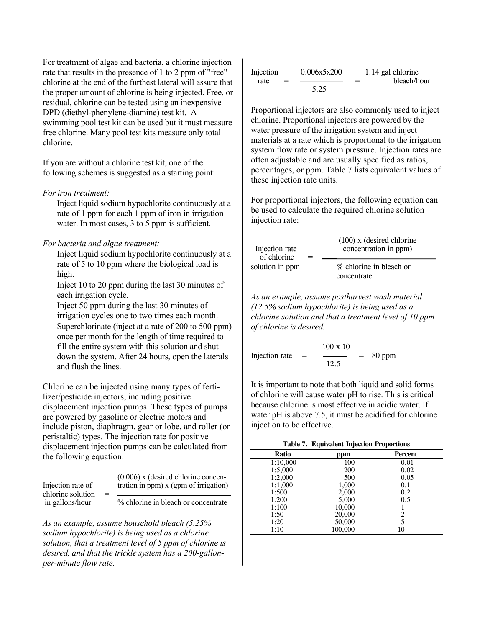For treatment of algae and bacteria, a chlorine injection rate that results in the presence of 1 to 2 ppm of "free" chlorine at the end of the furthest lateral will assure that the proper amount of chlorine is being injected. Free, or residual, chlorine can be tested using an inexpensive DPD (diethyl-phenylene-diamine) test kit. A swimming pool test kit can be used but it must measure free chlorine. Many pool test kits measure only total chlorine.

If you are without a chlorine test kit, one of the following schemes is suggested as a starting point:

#### *For iron treatment:*

Inject liquid sodium hypochlorite continuously at a rate of 1 ppm for each 1 ppm of iron in irrigation water. In most cases, 3 to 5 ppm is sufficient.

*For bacteria and algae treatment:* Inject liquid sodium hypochlorite continuously at a rate of 5 to 10 ppm where the biological load is high.

Inject 10 to 20 ppm during the last 30 minutes of each irrigation cycle. *As an example, assume postharvest wash material* 

Inject 50 ppm during the last 30 minutes of irrigation cycles one to two times each month. Superchlorinate (inject at a rate of 200 to 500 ppm) once per month for the length of time required to fill the entire system with this solution and shut down the system. After 24 hours, open the laterals and flush the lines.

Chlorine can be injected using many types of fertilizer/pesticide injectors, including positive displacement injection pumps. These types of pumps are powered by gasoline or electric motors and include piston, diaphragm, gear or lobe, and roller (or peristaltic) types. The injection rate for positive displacement injection pumps can be calculated from the following equation:

| Injection rate of<br>chlorine solution | $=$ | $(0.006)$ x (desired chlorine concen-<br>tration in ppm) x (gpm of irrigation) |
|----------------------------------------|-----|--------------------------------------------------------------------------------|
| in gallons/hour                        |     | % chlorine in bleach or concentrate                                            |

*As an example, assume household bleach (5.25% sodium hypochlorite) is being used as a chlorine solution, that a treatment level of 5 ppm of chlorine is desired, and that the trickle system has a 200-gallonper-minute flow rate.*

$$
\text{Injection}_{\text{rate}} = \frac{0.006 \times 5 \times 200}{5.25} = \frac{1.14 \text{ gal chlorine}}{\text{bleach/hour}}
$$

Proportional injectors are also commonly used to inject chlorine. Proportional injectors are powered by the water pressure of the irrigation system and inject materials at a rate which is proportional to the irrigation system flow rate or system pressure. Injection rates are often adjustable and are usually specified as ratios, percentages, or ppm. Table 7 lists equivalent values of these injection rate units.

For proportional injectors, the following equation can be used to calculate the required chlorine solution injection rate:

| Injection rate<br>of chlorine<br>solution in ppm | $=$ | $(100)$ x (desired chlorine)<br>concentration in ppm) |
|--------------------------------------------------|-----|-------------------------------------------------------|
|                                                  |     | % chlorine in bleach or<br>concentrate                |

*(12.5% sodium hypochlorite) is being used as a chlorine solution and that a treatment level of 10 ppm of chlorine is desired.*

100 x 10 Injection rate  $=$   $\frac{\ }{2}$  = 80 ppm 12.5

It is important to note that both liquid and solid forms of chlorine will cause water pH to rise. This is critical because chlorine is most effective in acidic water. If water pH is above 7.5, it must be acidified for chlorine injection to be effective.

|  |  |  | Table 7. Equivalent Injection Proportions |
|--|--|--|-------------------------------------------|
|--|--|--|-------------------------------------------|

| alsplacement injection pumps can be calculated from<br>the following equation:                    |                                       | <b>Ratio</b> | ppm        | Percent |  |
|---------------------------------------------------------------------------------------------------|---------------------------------------|--------------|------------|---------|--|
|                                                                                                   |                                       | 1:10.000     | 100        | 0.01    |  |
|                                                                                                   |                                       | 1:5,000      | <b>200</b> | 0.02    |  |
|                                                                                                   | $(0.006)$ x (desired chlorine concen- | 1:2,000      | 500        | 0.05    |  |
| Injection rate of                                                                                 | tration in ppm) x (gpm of irrigation) | 1:1.000      | 1.000      | 0.1     |  |
| chlorine solution                                                                                 |                                       | 1:500        | 2.000      | 0.2     |  |
|                                                                                                   | % chlorine in bleach or concentrate   | 1:200        | 5.000      | 0.5     |  |
| in gallons/hour                                                                                   |                                       | 1:100        | 10,000     |         |  |
|                                                                                                   |                                       | 1:50         | 20,000     |         |  |
|                                                                                                   |                                       | 1:20         | 50,000     |         |  |
| As an example, assume household bleach (5.25%<br>sodium hypochlorite) is being used as a chlorine |                                       | 1:10         | 100,000    | 10      |  |
|                                                                                                   |                                       |              |            |         |  |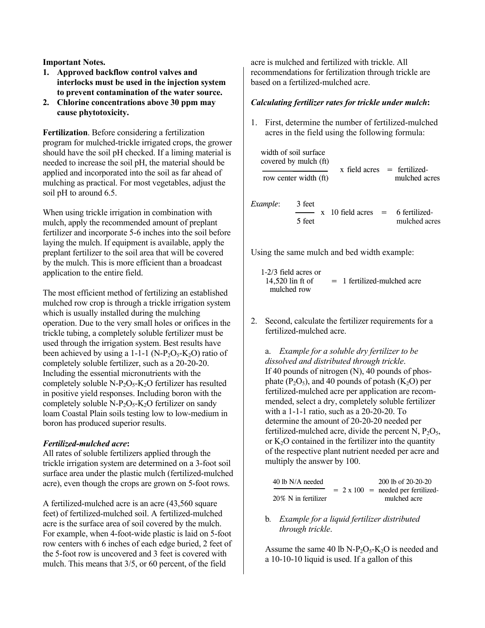**Important Notes.** 

- **1. Approved backflow control valves and interlocks must be used in the injection system to prevent contamination of the water source.**
- **2. Chlorine concentrations above 30 ppm may cause phytotoxicity.**

**Fertilization**. Before considering a fertilization program for mulched-trickle irrigated crops, the grower should have the soil pH checked. If a liming material is needed to increase the soil pH, the material should be applied and incorporated into the soil as far ahead of mulching as practical. For most vegetables, adjust the soil pH to around 6.5.

When using trickle irrigation in combination with mulch, apply the recommended amount of preplant fertilizer and incorporate 5-6 inches into the soil before laying the mulch. If equipment is available, apply the preplant fertilizer to the soil area that will be covered by the mulch. This is more efficient than a broadcast application to the entire field.

The most efficient method of fertilizing an established mulched row crop is through a trickle irrigation system which is usually installed during the mulching operation. Due to the very small holes or orifices in the trickle tubing, a completely soluble fertilizer must be used through the irrigation system. Best results have been achieved by using a 1-1-1 (N-P<sub>2</sub>O<sub>5</sub>-K<sub>2</sub>O) ratio of completely soluble fertilizer, such as a 20-20-20. Including the essential micronutrients with the completely soluble  $N-P_2O_5-K_2O$  fertilizer has resulted in positive yield responses. Including boron with the completely soluble N-P<sub>2</sub>O<sub>5</sub>-K<sub>2</sub>O fertilizer on sandy loam Coastal Plain soils testing low to low-medium in boron has produced superior results.

#### *Fertilized-mulched acre***:**

All rates of soluble fertilizers applied through the trickle irrigation system are determined on a 3-foot soil surface area under the plastic mulch (fertilized-mulched acre), even though the crops are grown on 5-foot rows.

A fertilized-mulched acre is an acre (43,560 square feet) of fertilized-mulched soil. A fertilized-mulched acre is the surface area of soil covered by the mulch. For example, when 4-foot-wide plastic is laid on 5-foot row centers with 6 inches of each edge buried, 2 feet of the 5-foot row is uncovered and 3 feet is covered with mulch. This means that 3/5, or 60 percent, of the field

acre is mulched and fertilized with trickle. All recommendations for fertilization through trickle are based on a fertilized-mulched acre.

#### *Calculating fertilizer rates for trickle under mulch***:**

1. First, determine the number of fertilized-mulched acres in the field using the following formula:

| width of soil surface<br>covered by mulch (ft) |                       | $x$ field acres $=$ fertilized-                         |               |
|------------------------------------------------|-----------------------|---------------------------------------------------------|---------------|
|                                                | row center width (ft) |                                                         | mulched acres |
| Example:                                       | 3 feet<br>5 feet      | $x \neq 10$ field acres $\qquad = \qquad 6$ fertilized- | mulched acres |

Using the same mulch and bed width example:

 $1-2/3$  field acres or<br>14.520 lin ft of  $= 1$  fertilized-mulched acre mulched row

2. Second, calculate the fertilizer requirements for a fertilized-mulched acre.

 a. *Example for a soluble dry fertilizer to be dissolved and distributed through trickle*. If 40 pounds of nitrogen (N), 40 pounds of phosphate  $(P_2O_5)$ , and 40 pounds of potash  $(K_2O)$  per fertilized-mulched acre per application are recommended, select a dry, completely soluble fertilizer with a 1-1-1 ratio, such as a 20-20-20. To determine the amount of 20-20-20 needed per fertilized-mulched acre, divide the percent N,  $P_2O_5$ , or  $K<sub>2</sub>O$  contained in the fertilizer into the quantity of the respective plant nutrient needed per acre and multiply the answer by 100.

| 40 lb N/A needed    |  | 200 lb of 20-20-20                        |
|---------------------|--|-------------------------------------------|
|                     |  | $= 2 \times 100$ = needed per fertilized- |
| 20% N in fertilizer |  | mulched acre                              |

b*. Example for a liquid fertilizer distributed through trickle*.

Assume the same 40 lb N-P<sub>2</sub>O<sub>5</sub>-K<sub>2</sub>O is needed and a 10-10-10 liquid is used. If a gallon of this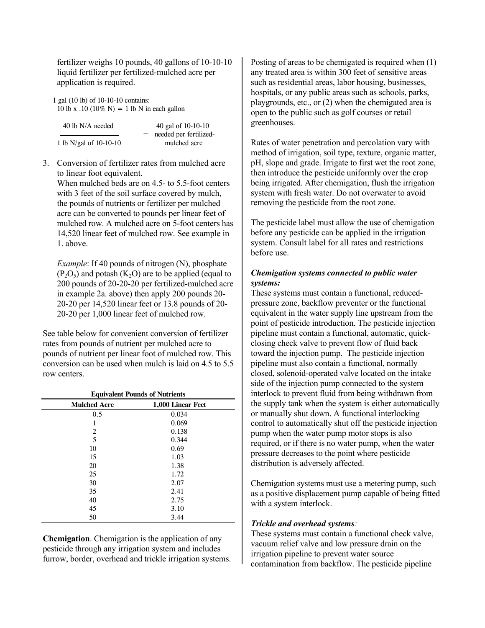fertilizer weighs 10 pounds, 40 gallons of 10-10-10 liquid fertilizer per fertilized-mulched acre per application is required.

1 gal (10 lb) of 10-10-10 contains: 10 lb x .10 (10% N) = 1 lb N in each gallon

| 40 lb N/A needed         | 40 gal of $10-10-10$   |  |
|--------------------------|------------------------|--|
|                          | needed per fertilized- |  |
| 1 lb N/gal of $10-10-10$ | mulched acre           |  |

3. Conversion of fertilizer rates from mulched acre to linear foot equivalent.

When mulched beds are on 4.5- to 5.5-foot centers with 3 feet of the soil surface covered by mulch. the pounds of nutrients or fertilizer per mulched acre can be converted to pounds per linear feet of mulched row. A mulched acre on 5-foot centers has 14,520 linear feet of mulched row. See example in 1. above.

*Example*: If 40 pounds of nitrogen (N), phosphate  $(P_2O_5)$  and potash  $(K_2O)$  are to be applied (equal to 200 pounds of 20-20-20 per fertilized-mulched acre in example 2a. above) then apply 200 pounds 20- 20-20 per 14,520 linear feet or 13.8 pounds of 20- 20-20 per 1,000 linear feet of mulched row.

See table below for convenient conversion of fertilizer rates from pounds of nutrient per mulched acre to pounds of nutrient per linear foot of mulched row. This conversion can be used when mulch is laid on 4.5 to 5.5 row centers.

| <b>Equivalent Pounds of Nutrients</b> |                   |  |
|---------------------------------------|-------------------|--|
| <b>Mulched Acre</b>                   | 1,000 Linear Feet |  |
| 0.5                                   | 0.034             |  |
| 1                                     | 0.069             |  |
| 2                                     | 0.138             |  |
| 5                                     | 0.344             |  |
| 10                                    | 0.69              |  |
| 15                                    | 1.03              |  |
| 20                                    | 1.38              |  |
| 25                                    | 1.72              |  |
| 30                                    | 2.07              |  |
| 35                                    | 2.41              |  |
| 40                                    | 2.75              |  |
| 45                                    | 3.10              |  |
| 50                                    | 3.44              |  |

**Chemigation**. Chemigation is the application of any pesticide through any irrigation system and includes furrow, border, overhead and trickle irrigation systems.

Posting of areas to be chemigated is required when (1) any treated area is within 300 feet of sensitive areas such as residential areas, labor housing, businesses, hospitals, or any public areas such as schools, parks, playgrounds, etc., or (2) when the chemigated area is open to the public such as golf courses or retail greenhouses.

Rates of water penetration and percolation vary with method of irrigation, soil type, texture, organic matter, pH, slope and grade. Irrigate to first wet the root zone, then introduce the pesticide uniformly over the crop being irrigated. After chemigation, flush the irrigation system with fresh water. Do not overwater to avoid removing the pesticide from the root zone.

The pesticide label must allow the use of chemigation before any pesticide can be applied in the irrigation system. Consult label for all rates and restrictions before use.

### *Chemigation systems connected to public water systems:*

These systems must contain a functional, reducedpressure zone, backflow preventer or the functional equivalent in the water supply line upstream from the point of pesticide introduction. The pesticide injection pipeline must contain a functional, automatic, quickclosing check valve to prevent flow of fluid back toward the injection pump. The pesticide injection pipeline must also contain a functional, normally closed, solenoid-operated valve located on the intake side of the injection pump connected to the system interlock to prevent fluid from being withdrawn from the supply tank when the system is either automatically or manually shut down. A functional interlocking control to automatically shut off the pesticide injection pump when the water pump motor stops is also required, or if there is no water pump, when the water pressure decreases to the point where pesticide distribution is adversely affected.

Chemigation systems must use a metering pump, such as a positive displacement pump capable of being fitted with a system interlock.

#### *Trickle and overhead systems:*

These systems must contain a functional check valve, vacuum relief valve and low pressure drain on the irrigation pipeline to prevent water source contamination from backflow. The pesticide pipeline